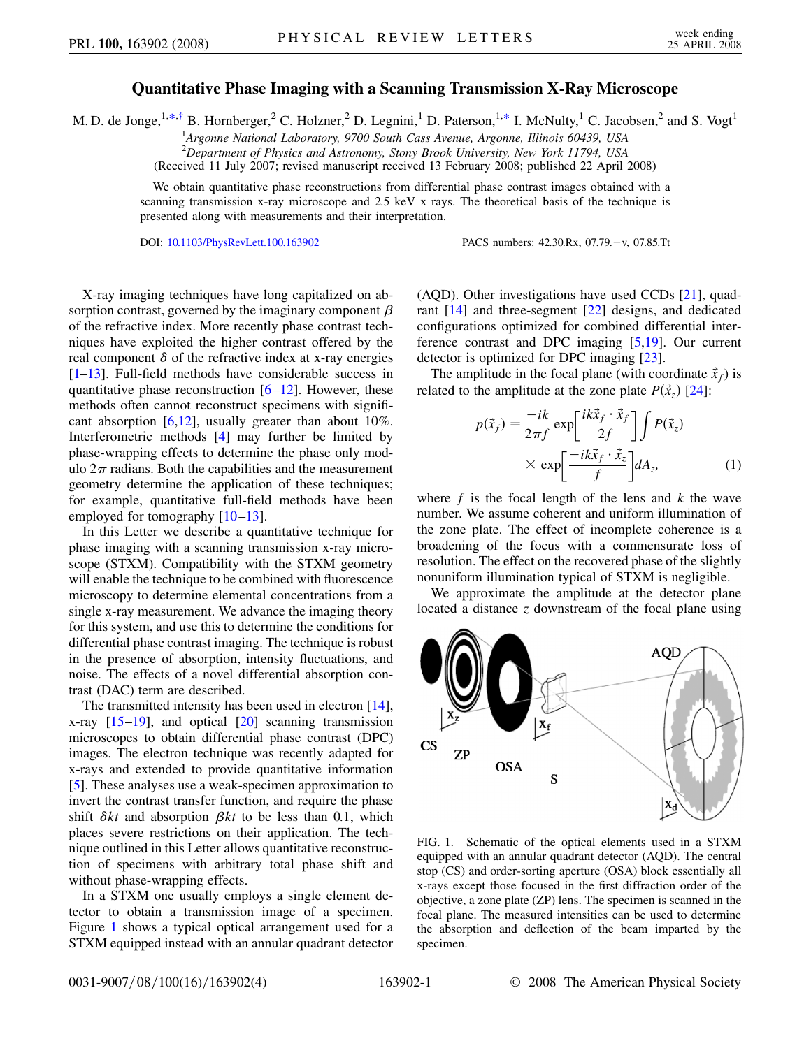## **Quantitative Phase Imaging with a Scanning Transmission X-Ray Microscope**

<span id="page-0-1"></span>M. D. de Jonge,  $1,*,\dagger$  $1,*,\dagger$  $1,*,\dagger$  B. Hornberger, <sup>2</sup> C. Holzner, <sup>2</sup> D. Legnini, <sup>1</sup> D. Paterson,  $1,*,$  $1,*,$  $1,*,$  I. McNulty, <sup>1</sup> C. Jacobsen, <sup>2</sup> and S. Vogt<sup>1</sup>

1 *Argonne National Laboratory, 9700 South Cass Avenue, Argonne, Illinois 60439, USA*

2 *Department of Physics and Astronomy, Stony Brook University, New York 11794, USA*

(Received 11 July 2007; revised manuscript received 13 February 2008; published 22 April 2008)

We obtain quantitative phase reconstructions from differential phase contrast images obtained with a scanning transmission x-ray microscope and 2.5 keV x rays. The theoretical basis of the technique is presented along with measurements and their interpretation.

DOI: [10.1103/PhysRevLett.100.163902](http://dx.doi.org/10.1103/PhysRevLett.100.163902) PACS numbers: 42.30.Rx, 07.79. - v, 07.85.Tt

X-ray imaging techniques have long capitalized on absorption contrast, governed by the imaginary component  $\beta$ of the refractive index. More recently phase contrast techniques have exploited the higher contrast offered by the real component  $\delta$  of the refractive index at x-ray energies [\[1–](#page-3-2)[13](#page-3-3)]. Full-field methods have considerable success in quantitative phase reconstruction  $[6–12]$  $[6–12]$  $[6–12]$ . However, these methods often cannot reconstruct specimens with significant absorption [[6](#page-3-4)[,12\]](#page-3-5), usually greater than about 10%. Interferometric methods [\[4](#page-3-6)] may further be limited by phase-wrapping effects to determine the phase only modulo  $2\pi$  radians. Both the capabilities and the measurement geometry determine the application of these techniques; for example, quantitative full-field methods have been employed for tomography  $[10-13]$  $[10-13]$  $[10-13]$ .

In this Letter we describe a quantitative technique for phase imaging with a scanning transmission x-ray microscope (STXM). Compatibility with the STXM geometry will enable the technique to be combined with fluorescence microscopy to determine elemental concentrations from a single x-ray measurement. We advance the imaging theory for this system, and use this to determine the conditions for differential phase contrast imaging. The technique is robust in the presence of absorption, intensity fluctuations, and noise. The effects of a novel differential absorption contrast (DAC) term are described.

The transmitted intensity has been used in electron [[14\]](#page-3-8), x-ray [\[15](#page-3-9)–[19](#page-3-10)], and optical [\[20\]](#page-3-11) scanning transmission microscopes to obtain differential phase contrast (DPC) images. The electron technique was recently adapted for x-rays and extended to provide quantitative information [\[5\]](#page-3-12). These analyses use a weak-specimen approximation to invert the contrast transfer function, and require the phase shift  $\delta kt$  and absorption  $\beta kt$  to be less than 0.1, which places severe restrictions on their application. The technique outlined in this Letter allows quantitative reconstruction of specimens with arbitrary total phase shift and without phase-wrapping effects.

In a STXM one usually employs a single element detector to obtain a transmission image of a specimen. Figure [1](#page-0-0) shows a typical optical arrangement used for a STXM equipped instead with an annular quadrant detector (AQD). Other investigations have used CCDs [\[21\]](#page-3-13), quadrant [\[14\]](#page-3-8) and three-segment [[22](#page-3-14)] designs, and dedicated configurations optimized for combined differential interference contrast and DPC imaging [\[5](#page-3-12),[19](#page-3-10)]. Our current detector is optimized for DPC imaging [\[23\]](#page-3-15).

The amplitude in the focal plane (with coordinate  $\vec{x}_f$ ) is related to the amplitude at the zone plate  $P(\vec{x}_z)$  [[24](#page-3-16)]:

$$
p(\vec{x}_f) = \frac{-ik}{2\pi f} \exp\left[\frac{ik\vec{x}_f \cdot \vec{x}_f}{2f}\right] \int P(\vec{x}_z) \times \exp\left[\frac{-ik\vec{x}_f \cdot \vec{x}_z}{f}\right] dA_z, \qquad (1)
$$

where *f* is the focal length of the lens and *k* the wave number. We assume coherent and uniform illumination of the zone plate. The effect of incomplete coherence is a broadening of the focus with a commensurate loss of resolution. The effect on the recovered phase of the slightly nonuniform illumination typical of STXM is negligible.

We approximate the amplitude at the detector plane located a distance *z* downstream of the focal plane using

<span id="page-0-0"></span>

FIG. 1. Schematic of the optical elements used in a STXM equipped with an annular quadrant detector (AQD). The central stop (CS) and order-sorting aperture (OSA) block essentially all x-rays except those focused in the first diffraction order of the objective, a zone plate (ZP) lens. The specimen is scanned in the focal plane. The measured intensities can be used to determine the absorption and deflection of the beam imparted by the specimen.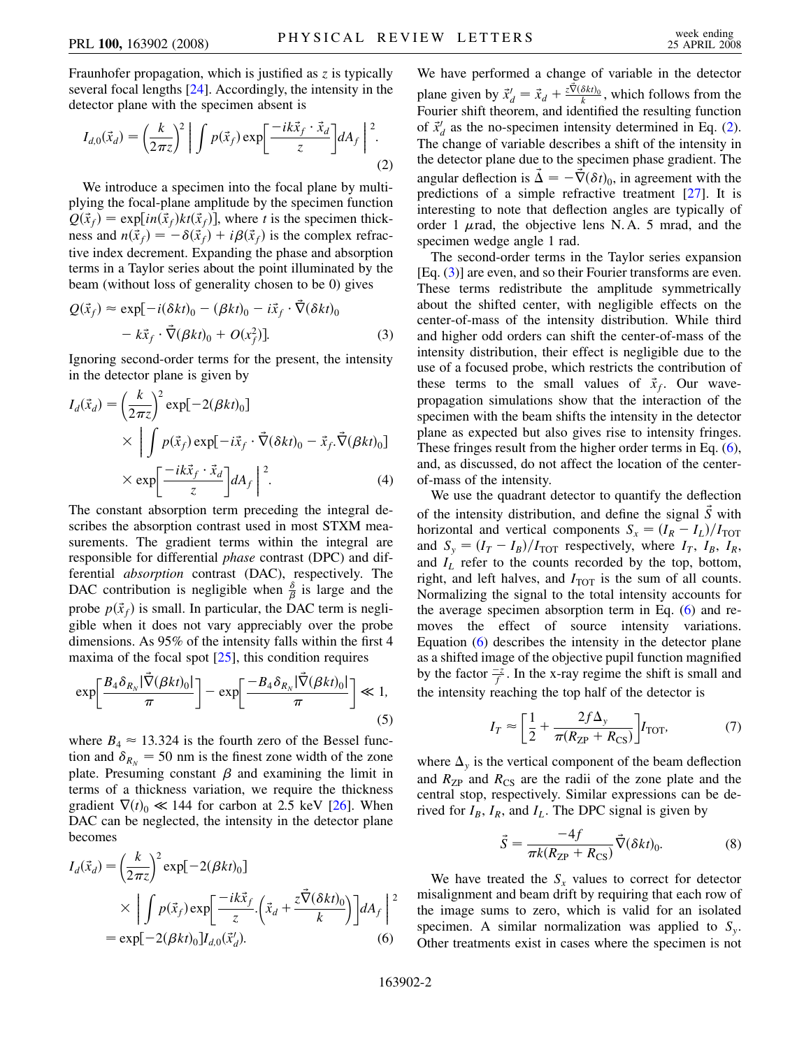Fraunhofer propagation, which is justified as *z* is typically several focal lengths [[24](#page-3-16)]. Accordingly, the intensity in the detector plane with the specimen absent is

<span id="page-1-0"></span>
$$
I_{d,0}(\vec{x}_d) = \left(\frac{k}{2\pi z}\right)^2 \left| \int p(\vec{x}_f) \exp\left[\frac{-ik\vec{x}_f \cdot \vec{x}_d}{z}\right] dA_f \right|^2.
$$
\n(2)

We introduce a specimen into the focal plane by multiplying the focal-plane amplitude by the specimen function  $Q(\vec{x}_f) = \exp[i n(\vec{x}_f)kt(\vec{x}_f)]$ , where *t* is the specimen thickness and  $n(\vec{x}_f) = -\delta(\vec{x}_f) + i\beta(\vec{x}_f)$  is the complex refractive index decrement. Expanding the phase and absorption terms in a Taylor series about the point illuminated by the beam (without loss of generality chosen to be 0) gives

<span id="page-1-1"></span>
$$
Q(\vec{x}_f) \approx \exp[-i(\delta kt)_0 - (\beta kt)_0 - i\vec{x}_f \cdot \vec{\nabla}(\delta kt)_0 - k\vec{x}_f \cdot \vec{\nabla}(\beta kt)_0 + O(x_f^2)].
$$
\n(3)

Ignoring second-order terms for the present, the intensity in the detector plane is given by

$$
I_d(\vec{x}_d) = \left(\frac{k}{2\pi z}\right)^2 \exp[-2(\beta kt)_0]
$$
  
 
$$
\times \left| \int p(\vec{x}_f) \exp[-i\vec{x}_f \cdot \vec{\nabla}(\delta kt)_0 - \vec{x}_f \cdot \vec{\nabla}(\beta kt)_0] \right|
$$
  
 
$$
\times \exp\left[\frac{-ik\vec{x}_f \cdot \vec{x}_d}{z}\right] dA_f \Big|^2.
$$
 (4)

The constant absorption term preceding the integral describes the absorption contrast used in most STXM measurements. The gradient terms within the integral are responsible for differential *phase* contrast (DPC) and differential *absorption* contrast (DAC), respectively. The DAC contribution is negligible when  $\frac{\delta}{\beta}$  is large and the probe  $p(\vec{x}_f)$  is small. In particular, the DAC term is negligible when it does not vary appreciably over the probe dimensions. As 95% of the intensity falls within the first 4 maxima of the focal spot  $[25]$ , this condition requires

$$
\exp\left[\frac{B_4\delta_{R_N}|\vec{\nabla}(\beta kt)_0|}{\pi}\right] - \exp\left[\frac{-B_4\delta_{R_N}|\vec{\nabla}(\beta kt)_0|}{\pi}\right] \ll 1,
$$
\n(5)

where  $B_4 \approx 13.324$  is the fourth zero of the Bessel function and  $\delta_{R_N} = 50$  nm is the finest zone width of the zone plate. Presuming constant  $\beta$  and examining the limit in terms of a thickness variation, we require the thickness gradient  $\nabla(t)_0 \ll 144$  for carbon at 2.5 keV [\[26\]](#page-3-18). When DAC can be neglected, the intensity in the detector plane becomes

<span id="page-1-2"></span>
$$
I_d(\vec{x}_d) = \left(\frac{k}{2\pi z}\right)^2 \exp[-2(\beta kt)_0]
$$
  
 
$$
\times \left| \int p(\vec{x}_f) \exp\left[\frac{-ik\vec{x}_f}{z} \cdot \left(\vec{x}_d + \frac{z\vec{\nabla}(\delta kt)_0}{k}\right) \right] dA_f \right|^2
$$
  
=  $\exp[-2(\beta kt)_0] I_{d,0}(\vec{x}'_d).$  (6)

We have performed a change of variable in the detector plane given by  $\vec{x}'_d = \vec{x}_d + \frac{z\vec{v}(\delta k t)_0}{k}$ , which follows from the Fourier shift theorem, and identified the resulting function of  $\vec{x}'_d$  as the no-specimen intensity determined in Eq. ([2\)](#page-1-0). The change of variable describes a shift of the intensity in the detector plane due to the specimen phase gradient. The angular deflection is  $\vec{\Delta} = -\vec{\nabla}(\delta t)_0$ , in agreement with the predictions of a simple refractive treatment [\[27\]](#page-3-19). It is interesting to note that deflection angles are typically of order 1  $\mu$ rad, the objective lens N. A. 5 mrad, and the specimen wedge angle 1 rad.

The second-order terms in the Taylor series expansion [Eq. [\(3\)](#page-1-1)] are even, and so their Fourier transforms are even. These terms redistribute the amplitude symmetrically about the shifted center, with negligible effects on the center-of-mass of the intensity distribution. While third and higher odd orders can shift the center-of-mass of the intensity distribution, their effect is negligible due to the use of a focused probe, which restricts the contribution of these terms to the small values of  $\vec{x}_f$ . Our wavepropagation simulations show that the interaction of the specimen with the beam shifts the intensity in the detector plane as expected but also gives rise to intensity fringes. These fringes result from the higher order terms in Eq.  $(6)$  $(6)$ , and, as discussed, do not affect the location of the centerof-mass of the intensity.

We use the quadrant detector to quantify the deflection of the intensity distribution, and define the signal  $\vec{S}$  with horizontal and vertical components  $S_x = (I_R - I_L)/I_{\text{TOT}}$ and  $S_y = (I_T - I_B)/I_{TOT}$  respectively, where  $I_T$ ,  $I_B$ ,  $I_R$ , and *IL* refer to the counts recorded by the top, bottom, right, and left halves, and  $I_{\text{TOT}}$  is the sum of all counts. Normalizing the signal to the total intensity accounts for the average specimen absorption term in Eq. ([6\)](#page-1-2) and removes the effect of source intensity variations. Equation [\(6](#page-1-2)) describes the intensity in the detector plane as a shifted image of the objective pupil function magnified by the factor  $\frac{-z}{f}$ . In the x-ray regime the shift is small and the intensity reaching the top half of the detector is

$$
I_T \approx \left[\frac{1}{2} + \frac{2f\Delta_y}{\pi (R_{\text{ZP}} + R_{\text{CS}})}\right] I_{\text{TOT}},\tag{7}
$$

where  $\Delta_{v}$  is the vertical component of the beam deflection and  $R_{\text{ZP}}$  and  $R_{\text{CS}}$  are the radii of the zone plate and the central stop, respectively. Similar expressions can be derived for  $I_B$ ,  $I_R$ , and  $I_L$ . The DPC signal is given by

$$
\vec{S} = \frac{-4f}{\pi k (R_{\text{ZP}} + R_{\text{CS}})} \vec{\nabla} (\delta kt)_0.
$$
 (8)

We have treated the  $S_x$  values to correct for detector misalignment and beam drift by requiring that each row of the image sums to zero, which is valid for an isolated specimen. A similar normalization was applied to *Sy*. Other treatments exist in cases where the specimen is not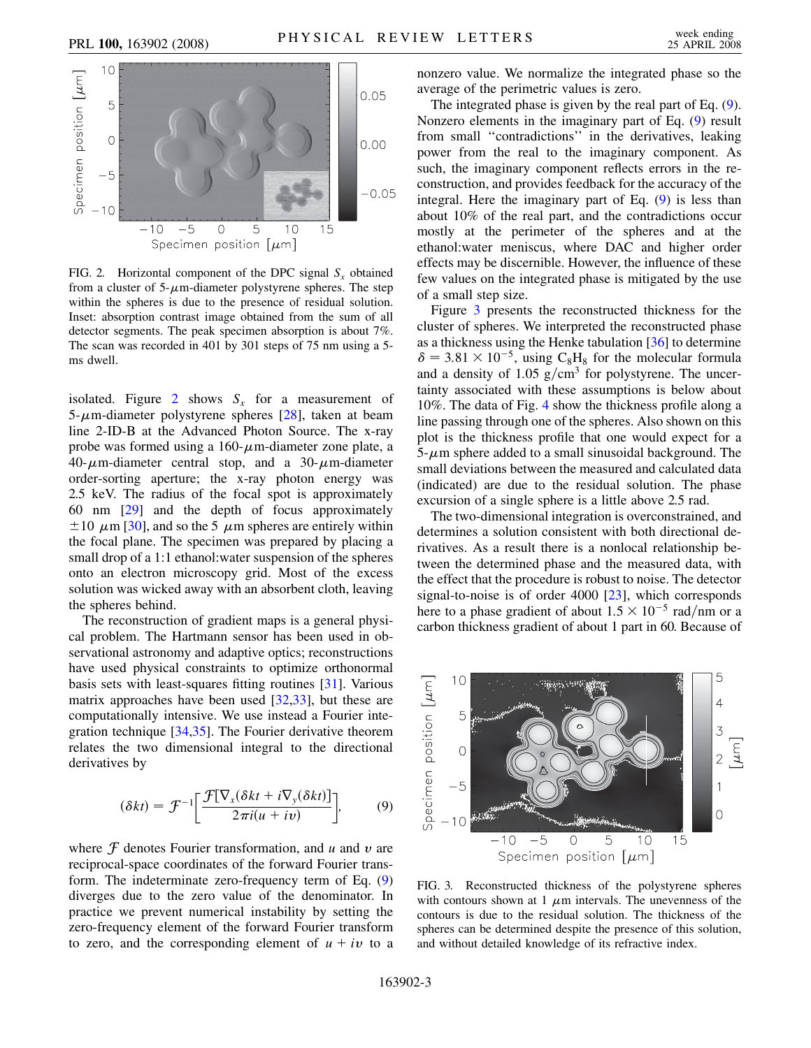<span id="page-2-0"></span>

FIG. 2. Horizontal component of the DPC signal  $S<sub>x</sub>$  obtained from a cluster of  $5-\mu$ m-diameter polystyrene spheres. The step within the spheres is due to the presence of residual solution. Inset: absorption contrast image obtained from the sum of all detector segments. The peak specimen absorption is about 7%. The scan was recorded in 401 by 301 steps of 75 nm using a 5 ms dwell.

isolated. Figure  $2$  shows  $S_x$  for a measurement of 5- $\mu$ m-diameter polystyrene spheres [\[28\]](#page-3-20), taken at beam line 2-ID-B at the Advanced Photon Source. The x-ray probe was formed using a 160- $\mu$ m-diameter zone plate, a  $40-\mu$ m-diameter central stop, and a 30- $\mu$ m-diameter order-sorting aperture; the x-ray photon energy was 2.5 keV. The radius of the focal spot is approximately 60 nm [\[29\]](#page-3-21) and the depth of focus approximately  $\pm 10 \mu$ m [[30](#page-3-22)], and so the 5  $\mu$ m spheres are entirely within the focal plane. The specimen was prepared by placing a small drop of a 1:1 ethanol:water suspension of the spheres onto an electron microscopy grid. Most of the excess solution was wicked away with an absorbent cloth, leaving the spheres behind.

The reconstruction of gradient maps is a general physical problem. The Hartmann sensor has been used in observational astronomy and adaptive optics; reconstructions have used physical constraints to optimize orthonormal basis sets with least-squares fitting routines [[31](#page-3-23)]. Various matrix approaches have been used [\[32](#page-3-24)[,33\]](#page-3-25), but these are computationally intensive. We use instead a Fourier integration technique [\[34](#page-3-26)[,35\]](#page-3-27). The Fourier derivative theorem relates the two dimensional integral to the directional derivatives by

<span id="page-2-1"></span>
$$
(\delta kt) = \mathcal{F}^{-1} \left[ \frac{\mathcal{F}[\nabla_x (\delta kt + i\nabla_y (\delta kt)]}{2\pi i(u + iv)} \right],\tag{9}
$$

where F denotes Fourier transformation, and *u* and *v* are reciprocal-space coordinates of the forward Fourier transform. The indeterminate zero-frequency term of Eq. [\(9\)](#page-2-1) diverges due to the zero value of the denominator. In practice we prevent numerical instability by setting the zero-frequency element of the forward Fourier transform to zero, and the corresponding element of  $u + iv$  to a nonzero value. We normalize the integrated phase so the average of the perimetric values is zero.

The integrated phase is given by the real part of Eq. ([9\)](#page-2-1). Nonzero elements in the imaginary part of Eq. [\(9\)](#page-2-1) result from small ''contradictions'' in the derivatives, leaking power from the real to the imaginary component. As such, the imaginary component reflects errors in the reconstruction, and provides feedback for the accuracy of the integral. Here the imaginary part of Eq. ([9](#page-2-1)) is less than about 10% of the real part, and the contradictions occur mostly at the perimeter of the spheres and at the ethanol:water meniscus, where DAC and higher order effects may be discernible. However, the influence of these few values on the integrated phase is mitigated by the use of a small step size.

Figure [3](#page-2-2) presents the reconstructed thickness for the cluster of spheres. We interpreted the reconstructed phase as a thickness using the Henke tabulation [\[36\]](#page-3-28) to determine  $\delta = 3.81 \times 10^{-5}$ , using C<sub>8</sub>H<sub>8</sub> for the molecular formula and a density of  $1.05$  g/cm<sup>3</sup> for polystyrene. The uncertainty associated with these assumptions is below about 10%. The data of Fig. [4](#page-3-29) show the thickness profile along a line passing through one of the spheres. Also shown on this plot is the thickness profile that one would expect for a  $5-\mu$ m sphere added to a small sinusoidal background. The small deviations between the measured and calculated data (indicated) are due to the residual solution. The phase excursion of a single sphere is a little above 2.5 rad.

The two-dimensional integration is overconstrained, and determines a solution consistent with both directional derivatives. As a result there is a nonlocal relationship between the determined phase and the measured data, with the effect that the procedure is robust to noise. The detector signal-to-noise is of order 4000 [\[23\]](#page-3-15), which corresponds here to a phase gradient of about  $1.5 \times 10^{-5}$  rad/nm or a carbon thickness gradient of about 1 part in 60. Because of

<span id="page-2-2"></span>

FIG. 3. Reconstructed thickness of the polystyrene spheres with contours shown at 1  $\mu$ m intervals. The unevenness of the contours is due to the residual solution. The thickness of the spheres can be determined despite the presence of this solution, and without detailed knowledge of its refractive index.